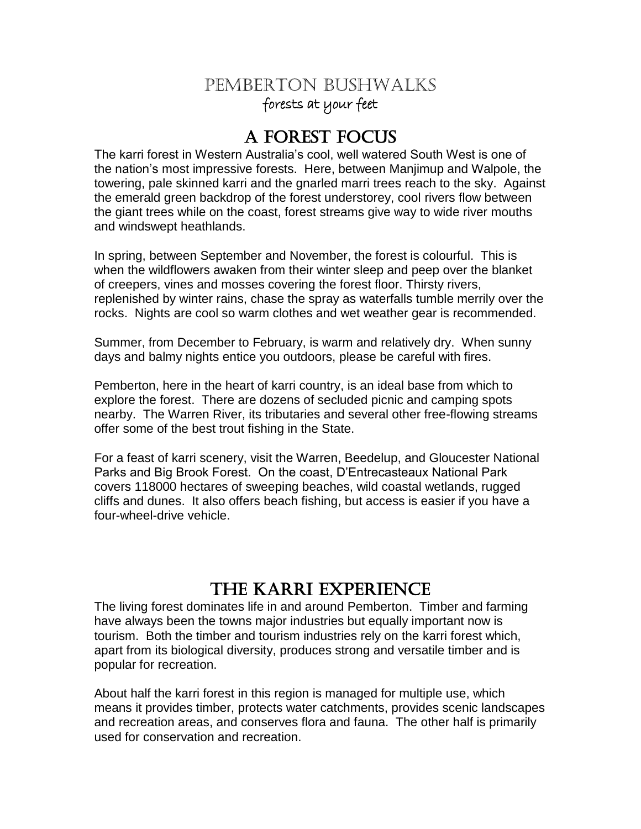# PEMBERTON BUSHWALKS forests at your feet

# A FOREST FOCUS

The karri forest in Western Australia"s cool, well watered South West is one of the nation"s most impressive forests. Here, between Manjimup and Walpole, the towering, pale skinned karri and the gnarled marri trees reach to the sky. Against the emerald green backdrop of the forest understorey, cool rivers flow between the giant trees while on the coast, forest streams give way to wide river mouths and windswept heathlands.

In spring, between September and November, the forest is colourful. This is when the wildflowers awaken from their winter sleep and peep over the blanket of creepers, vines and mosses covering the forest floor. Thirsty rivers, replenished by winter rains, chase the spray as waterfalls tumble merrily over the rocks. Nights are cool so warm clothes and wet weather gear is recommended.

Summer, from December to February, is warm and relatively dry. When sunny days and balmy nights entice you outdoors, please be careful with fires.

Pemberton, here in the heart of karri country, is an ideal base from which to explore the forest. There are dozens of secluded picnic and camping spots nearby. The Warren River, its tributaries and several other free-flowing streams offer some of the best trout fishing in the State.

For a feast of karri scenery, visit the Warren, Beedelup, and Gloucester National Parks and Big Brook Forest. On the coast, D"Entrecasteaux National Park covers 118000 hectares of sweeping beaches, wild coastal wetlands, rugged cliffs and dunes. It also offers beach fishing, but access is easier if you have a four-wheel-drive vehicle.

# THE KARRI EXPERIENCE

The living forest dominates life in and around Pemberton. Timber and farming have always been the towns major industries but equally important now is tourism. Both the timber and tourism industries rely on the karri forest which, apart from its biological diversity, produces strong and versatile timber and is popular for recreation.

About half the karri forest in this region is managed for multiple use, which means it provides timber, protects water catchments, provides scenic landscapes and recreation areas, and conserves flora and fauna. The other half is primarily used for conservation and recreation.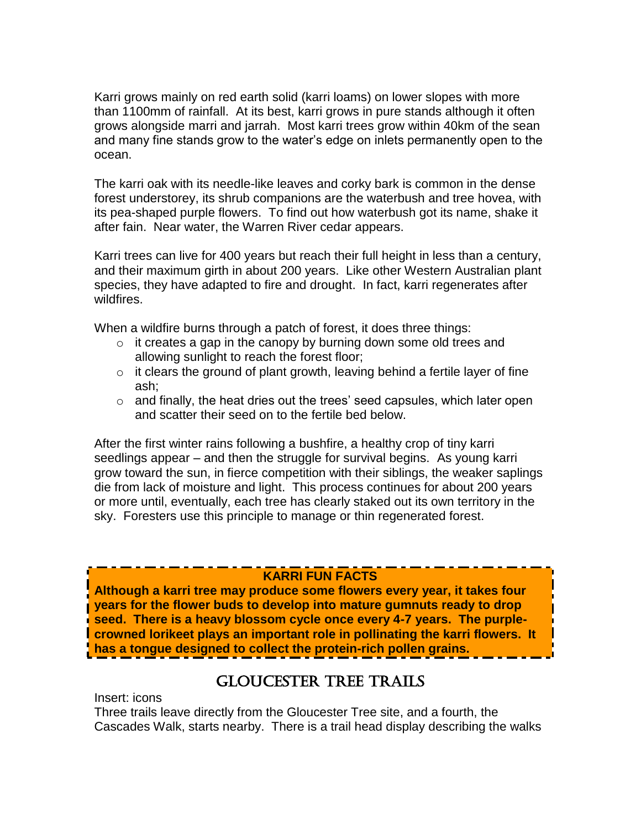Karri grows mainly on red earth solid (karri loams) on lower slopes with more than 1100mm of rainfall. At its best, karri grows in pure stands although it often grows alongside marri and jarrah. Most karri trees grow within 40km of the sean and many fine stands grow to the water"s edge on inlets permanently open to the ocean.

The karri oak with its needle-like leaves and corky bark is common in the dense forest understorey, its shrub companions are the waterbush and tree hovea, with its pea-shaped purple flowers. To find out how waterbush got its name, shake it after fain. Near water, the Warren River cedar appears.

Karri trees can live for 400 years but reach their full height in less than a century, and their maximum girth in about 200 years. Like other Western Australian plant species, they have adapted to fire and drought. In fact, karri regenerates after wildfires.

When a wildfire burns through a patch of forest, it does three things:

- $\circ$  it creates a gap in the canopy by burning down some old trees and allowing sunlight to reach the forest floor;
- $\circ$  it clears the ground of plant growth, leaving behind a fertile layer of fine ash;
- $\circ$  and finally, the heat dries out the trees' seed capsules, which later open and scatter their seed on to the fertile bed below.

After the first winter rains following a bushfire, a healthy crop of tiny karri seedlings appear – and then the struggle for survival begins. As young karri grow toward the sun, in fierce competition with their siblings, the weaker saplings die from lack of moisture and light. This process continues for about 200 years or more until, eventually, each tree has clearly staked out its own territory in the sky. Foresters use this principle to manage or thin regenerated forest.

### **KARRI FUN FACTS**

**Although a karri tree may produce some flowers every year, it takes four years for the flower buds to develop into mature gumnuts ready to drop seed. There is a heavy blossom cycle once every 4-7 years. The purplecrowned lorikeet plays an important role in pollinating the karri flowers. It has a tongue designed to collect the protein-rich pollen grains.**

## GLOUCESTER TREE TRAILS

Insert: icons

Three trails leave directly from the Gloucester Tree site, and a fourth, the Cascades Walk, starts nearby. There is a trail head display describing the walks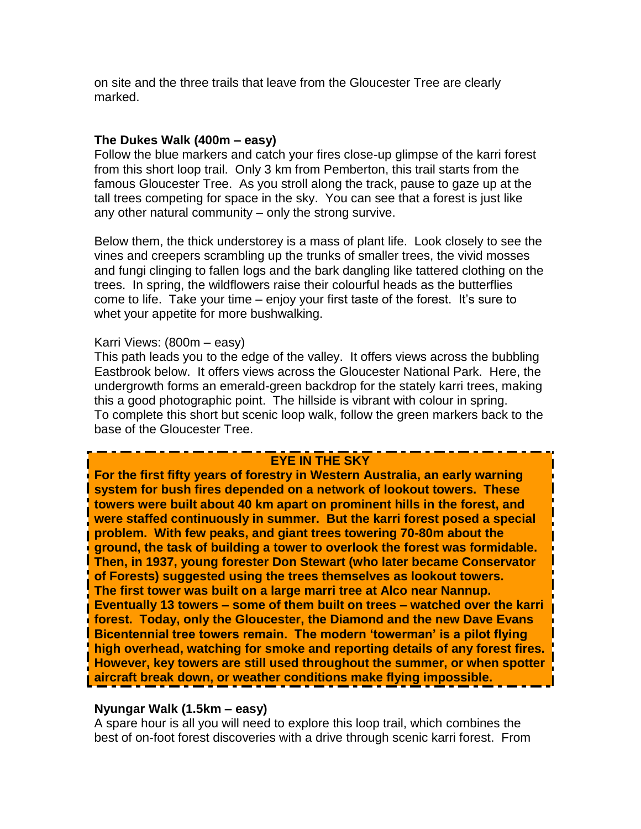on site and the three trails that leave from the Gloucester Tree are clearly marked.

#### **The Dukes Walk (400m – easy)**

Follow the blue markers and catch your fires close-up glimpse of the karri forest from this short loop trail. Only 3 km from Pemberton, this trail starts from the famous Gloucester Tree. As you stroll along the track, pause to gaze up at the tall trees competing for space in the sky. You can see that a forest is just like any other natural community – only the strong survive.

Below them, the thick understorey is a mass of plant life. Look closely to see the vines and creepers scrambling up the trunks of smaller trees, the vivid mosses and fungi clinging to fallen logs and the bark dangling like tattered clothing on the trees. In spring, the wildflowers raise their colourful heads as the butterflies come to life. Take your time – enjoy your first taste of the forest. It"s sure to whet your appetite for more bushwalking.

#### Karri Views: (800m – easy)

This path leads you to the edge of the valley. It offers views across the bubbling Eastbrook below. It offers views across the Gloucester National Park. Here, the undergrowth forms an emerald-green backdrop for the stately karri trees, making this a good photographic point. The hillside is vibrant with colour in spring. To complete this short but scenic loop walk, follow the green markers back to the base of the Gloucester Tree.

#### **EYE IN THE SKY**

**For the first fifty years of forestry in Western Australia, an early warning system for bush fires depended on a network of lookout towers. These towers were built about 40 km apart on prominent hills in the forest, and were staffed continuously in summer. But the karri forest posed a special problem. With few peaks, and giant trees towering 70-80m about the ground, the task of building a tower to overlook the forest was formidable. Then, in 1937, young forester Don Stewart (who later became Conservator of Forests) suggested using the trees themselves as lookout towers. The first tower was built on a large marri tree at Alco near Nannup. Eventually 13 towers – some of them built on trees – watched over the karri forest. Today, only the Gloucester, the Diamond and the new Dave Evans Bicentennial tree towers remain. The modern 'towerman' is a pilot flying high overhead, watching for smoke and reporting details of any forest fires. However, key towers are still used throughout the summer, or when spotter aircraft break down, or weather conditions make flying impossible.**

#### **Nyungar Walk (1.5km – easy)**

A spare hour is all you will need to explore this loop trail, which combines the best of on-foot forest discoveries with a drive through scenic karri forest. From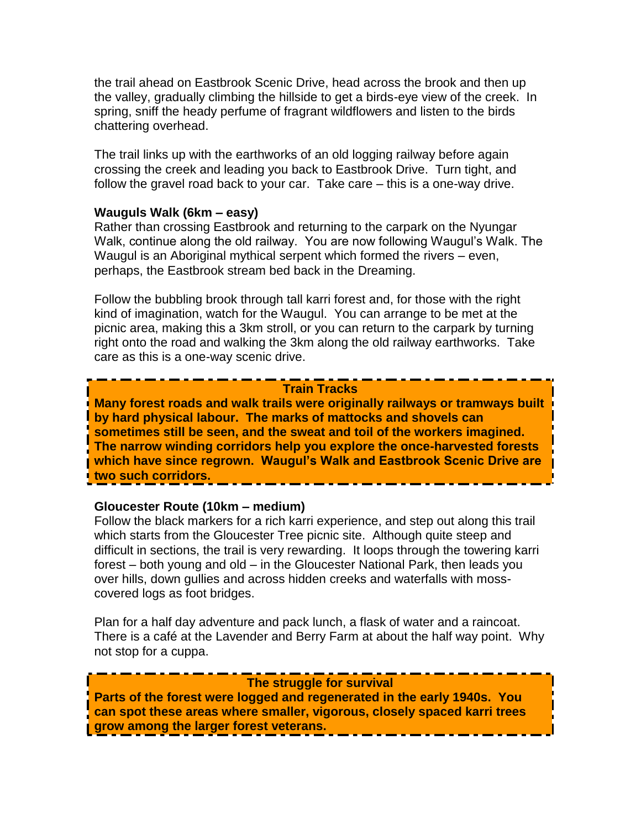the trail ahead on Eastbrook Scenic Drive, head across the brook and then up the valley, gradually climbing the hillside to get a birds-eye view of the creek. In spring, sniff the heady perfume of fragrant wildflowers and listen to the birds chattering overhead.

The trail links up with the earthworks of an old logging railway before again crossing the creek and leading you back to Eastbrook Drive. Turn tight, and follow the gravel road back to your car. Take care – this is a one-way drive.

#### **Wauguls Walk (6km – easy)**

Rather than crossing Eastbrook and returning to the carpark on the Nyungar Walk, continue along the old railway. You are now following Waugul"s Walk. The Waugul is an Aboriginal mythical serpent which formed the rivers – even, perhaps, the Eastbrook stream bed back in the Dreaming.

Follow the bubbling brook through tall karri forest and, for those with the right kind of imagination, watch for the Waugul. You can arrange to be met at the picnic area, making this a 3km stroll, or you can return to the carpark by turning right onto the road and walking the 3km along the old railway earthworks. Take care as this is a one-way scenic drive.

#### **Train Tracks**

**Many forest roads and walk trails were originally railways or tramways built by hard physical labour. The marks of mattocks and shovels can sometimes still be seen, and the sweat and toil of the workers imagined. The narrow winding corridors help you explore the once-harvested forests which have since regrown. Waugul's Walk and Eastbrook Scenic Drive are two such corridors.**

#### **Gloucester Route (10km – medium)**

Follow the black markers for a rich karri experience, and step out along this trail which starts from the Gloucester Tree picnic site. Although quite steep and difficult in sections, the trail is very rewarding. It loops through the towering karri forest – both young and old – in the Gloucester National Park, then leads you over hills, down gullies and across hidden creeks and waterfalls with mosscovered logs as foot bridges.

Plan for a half day adventure and pack lunch, a flask of water and a raincoat. There is a café at the Lavender and Berry Farm at about the half way point. Why not stop for a cuppa.

#### **The struggle for survival**

**Parts of the forest were logged and regenerated in the early 1940s. You can spot these areas where smaller, vigorous, closely spaced karri trees grow among the larger forest veterans.**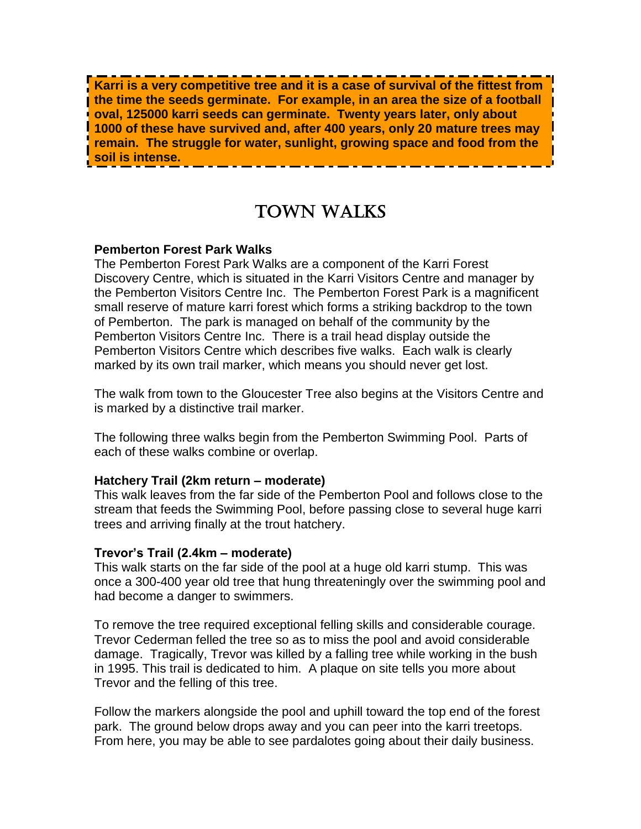**Karri is a very competitive tree and it is a case of survival of the fittest from the time the seeds germinate. For example, in an area the size of a football oval, 125000 karri seeds can germinate. Twenty years later, only about 1000 of these have survived and, after 400 years, only 20 mature trees may remain. The struggle for water, sunlight, growing space and food from the soil is intense.**

# TOWN WALKS

#### **Pemberton Forest Park Walks**

The Pemberton Forest Park Walks are a component of the Karri Forest Discovery Centre, which is situated in the Karri Visitors Centre and manager by the Pemberton Visitors Centre Inc. The Pemberton Forest Park is a magnificent small reserve of mature karri forest which forms a striking backdrop to the town of Pemberton. The park is managed on behalf of the community by the Pemberton Visitors Centre Inc. There is a trail head display outside the Pemberton Visitors Centre which describes five walks. Each walk is clearly marked by its own trail marker, which means you should never get lost.

The walk from town to the Gloucester Tree also begins at the Visitors Centre and is marked by a distinctive trail marker.

The following three walks begin from the Pemberton Swimming Pool. Parts of each of these walks combine or overlap.

#### **Hatchery Trail (2km return – moderate)**

This walk leaves from the far side of the Pemberton Pool and follows close to the stream that feeds the Swimming Pool, before passing close to several huge karri trees and arriving finally at the trout hatchery.

#### **Trevor's Trail (2.4km – moderate)**

This walk starts on the far side of the pool at a huge old karri stump. This was once a 300-400 year old tree that hung threateningly over the swimming pool and had become a danger to swimmers.

To remove the tree required exceptional felling skills and considerable courage. Trevor Cederman felled the tree so as to miss the pool and avoid considerable damage. Tragically, Trevor was killed by a falling tree while working in the bush in 1995. This trail is dedicated to him. A plaque on site tells you more about Trevor and the felling of this tree.

Follow the markers alongside the pool and uphill toward the top end of the forest park. The ground below drops away and you can peer into the karri treetops. From here, you may be able to see pardalotes going about their daily business.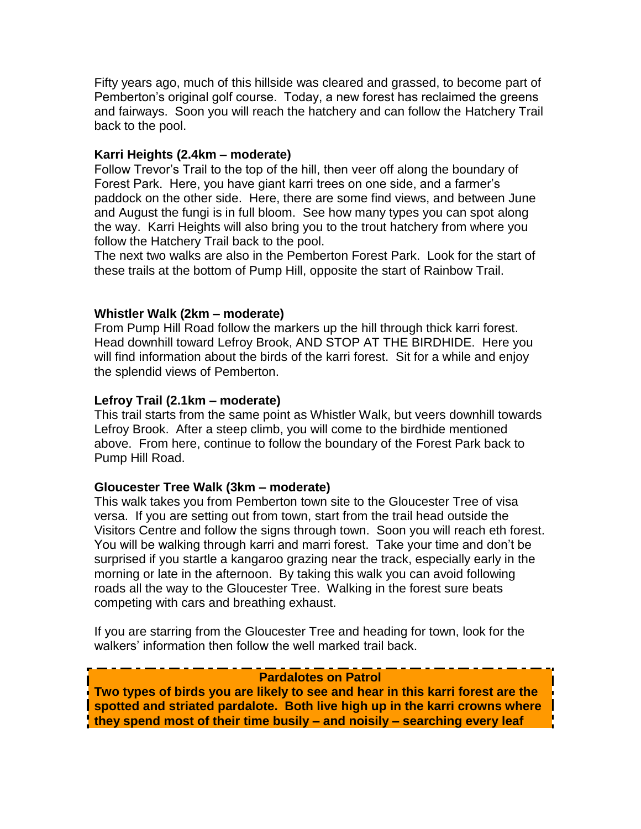Fifty years ago, much of this hillside was cleared and grassed, to become part of Pemberton"s original golf course. Today, a new forest has reclaimed the greens and fairways. Soon you will reach the hatchery and can follow the Hatchery Trail back to the pool.

#### **Karri Heights (2.4km – moderate)**

Follow Trevor"s Trail to the top of the hill, then veer off along the boundary of Forest Park. Here, you have giant karri trees on one side, and a farmer"s paddock on the other side. Here, there are some find views, and between June and August the fungi is in full bloom. See how many types you can spot along the way. Karri Heights will also bring you to the trout hatchery from where you follow the Hatchery Trail back to the pool.

The next two walks are also in the Pemberton Forest Park. Look for the start of these trails at the bottom of Pump Hill, opposite the start of Rainbow Trail.

#### **Whistler Walk (2km – moderate)**

From Pump Hill Road follow the markers up the hill through thick karri forest. Head downhill toward Lefroy Brook, AND STOP AT THE BIRDHIDE. Here you will find information about the birds of the karri forest. Sit for a while and enjoy the splendid views of Pemberton.

#### **Lefroy Trail (2.1km – moderate)**

This trail starts from the same point as Whistler Walk, but veers downhill towards Lefroy Brook. After a steep climb, you will come to the birdhide mentioned above. From here, continue to follow the boundary of the Forest Park back to Pump Hill Road.

#### **Gloucester Tree Walk (3km – moderate)**

This walk takes you from Pemberton town site to the Gloucester Tree of visa versa. If you are setting out from town, start from the trail head outside the Visitors Centre and follow the signs through town. Soon you will reach eth forest. You will be walking through karri and marri forest. Take your time and don"t be surprised if you startle a kangaroo grazing near the track, especially early in the morning or late in the afternoon. By taking this walk you can avoid following roads all the way to the Gloucester Tree. Walking in the forest sure beats competing with cars and breathing exhaust.

If you are starring from the Gloucester Tree and heading for town, look for the walkers' information then follow the well marked trail back.

#### **Pardalotes on Patrol**

**Two types of birds you are likely to see and hear in this karri forest are the spotted and striated pardalote. Both live high up in the karri crowns where they spend most of their time busily – and noisily – searching every leaf**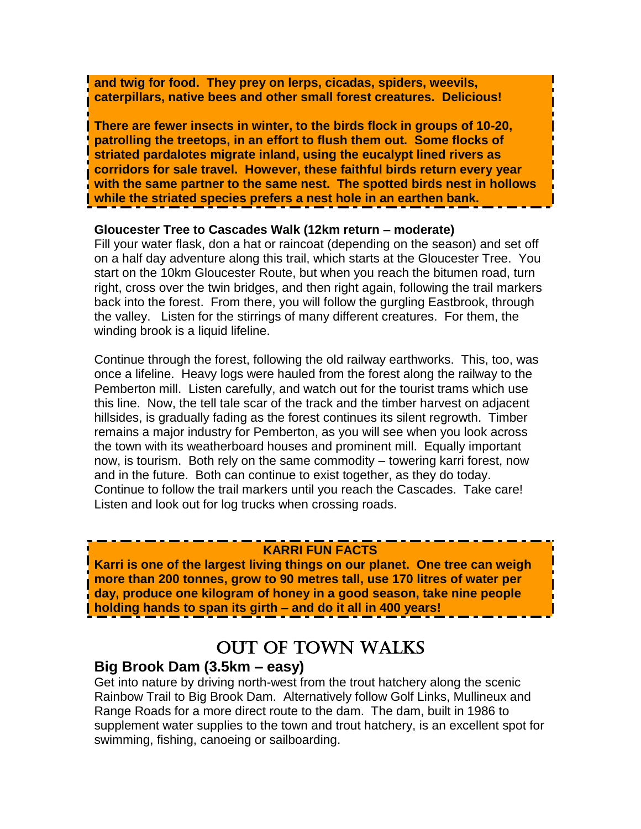**and twig for food. They prey on lerps, cicadas, spiders, weevils, caterpillars, native bees and other small forest creatures. Delicious!**

**There are fewer insects in winter, to the birds flock in groups of 10-20, patrolling the treetops, in an effort to flush them out. Some flocks of striated pardalotes migrate inland, using the eucalypt lined rivers as corridors for sale travel. However, these faithful birds return every year with the same partner to the same nest. The spotted birds nest in hollows while the striated species prefers a nest hole in an earthen bank.**

#### **Gloucester Tree to Cascades Walk (12km return – moderate)**

Fill your water flask, don a hat or raincoat (depending on the season) and set off on a half day adventure along this trail, which starts at the Gloucester Tree. You start on the 10km Gloucester Route, but when you reach the bitumen road, turn right, cross over the twin bridges, and then right again, following the trail markers back into the forest. From there, you will follow the gurgling Eastbrook, through the valley. Listen for the stirrings of many different creatures. For them, the winding brook is a liquid lifeline.

Continue through the forest, following the old railway earthworks. This, too, was once a lifeline. Heavy logs were hauled from the forest along the railway to the Pemberton mill. Listen carefully, and watch out for the tourist trams which use this line. Now, the tell tale scar of the track and the timber harvest on adjacent hillsides, is gradually fading as the forest continues its silent regrowth. Timber remains a major industry for Pemberton, as you will see when you look across the town with its weatherboard houses and prominent mill. Equally important now, is tourism. Both rely on the same commodity – towering karri forest, now and in the future. Both can continue to exist together, as they do today. Continue to follow the trail markers until you reach the Cascades. Take care! Listen and look out for log trucks when crossing roads.

#### **KARRI FUN FACTS**

**Karri is one of the largest living things on our planet. One tree can weigh more than 200 tonnes, grow to 90 metres tall, use 170 litres of water per day, produce one kilogram of honey in a good season, take nine people holding hands to span its girth – and do it all in 400 years!**

# OUT OF TOWN WALKS

٦

### **Big Brook Dam (3.5km – easy)**

Get into nature by driving north-west from the trout hatchery along the scenic Rainbow Trail to Big Brook Dam. Alternatively follow Golf Links, Mullineux and Range Roads for a more direct route to the dam. The dam, built in 1986 to supplement water supplies to the town and trout hatchery, is an excellent spot for swimming, fishing, canoeing or sailboarding.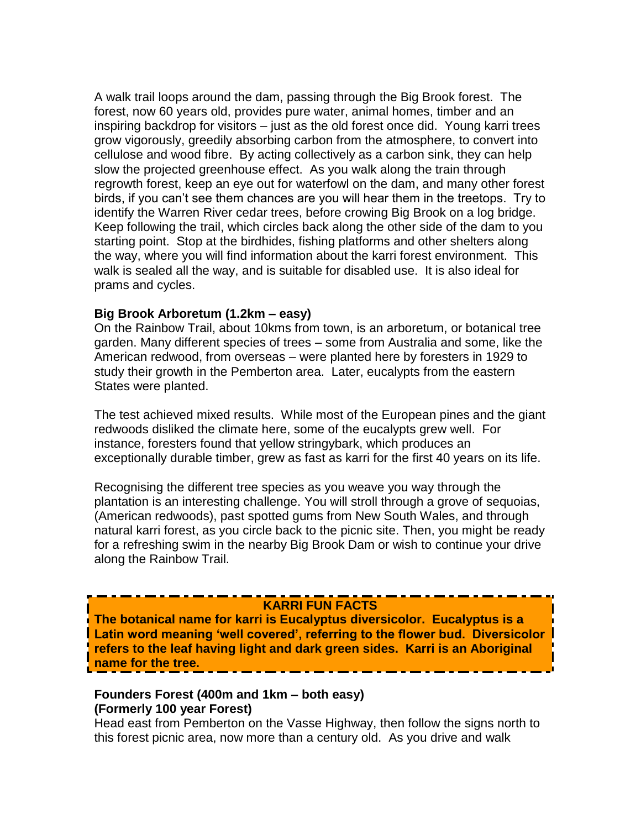A walk trail loops around the dam, passing through the Big Brook forest. The forest, now 60 years old, provides pure water, animal homes, timber and an inspiring backdrop for visitors – just as the old forest once did. Young karri trees grow vigorously, greedily absorbing carbon from the atmosphere, to convert into cellulose and wood fibre. By acting collectively as a carbon sink, they can help slow the projected greenhouse effect. As you walk along the train through regrowth forest, keep an eye out for waterfowl on the dam, and many other forest birds, if you can"t see them chances are you will hear them in the treetops. Try to identify the Warren River cedar trees, before crowing Big Brook on a log bridge. Keep following the trail, which circles back along the other side of the dam to you starting point. Stop at the birdhides, fishing platforms and other shelters along the way, where you will find information about the karri forest environment. This walk is sealed all the way, and is suitable for disabled use. It is also ideal for prams and cycles.

#### **Big Brook Arboretum (1.2km – easy)**

On the Rainbow Trail, about 10kms from town, is an arboretum, or botanical tree garden. Many different species of trees – some from Australia and some, like the American redwood, from overseas – were planted here by foresters in 1929 to study their growth in the Pemberton area. Later, eucalypts from the eastern States were planted.

The test achieved mixed results. While most of the European pines and the giant redwoods disliked the climate here, some of the eucalypts grew well. For instance, foresters found that yellow stringybark, which produces an exceptionally durable timber, grew as fast as karri for the first 40 years on its life.

Recognising the different tree species as you weave you way through the plantation is an interesting challenge. You will stroll through a grove of sequoias, (American redwoods), past spotted gums from New South Wales, and through natural karri forest, as you circle back to the picnic site. Then, you might be ready for a refreshing swim in the nearby Big Brook Dam or wish to continue your drive along the Rainbow Trail.

#### **KARRI FUN FACTS**

**The botanical name for karri is Eucalyptus diversicolor. Eucalyptus is a Latin word meaning 'well covered', referring to the flower bud. Diversicolor refers to the leaf having light and dark green sides. Karri is an Aboriginal name for the tree.**

#### **Founders Forest (400m and 1km – both easy) (Formerly 100 year Forest)**

Head east from Pemberton on the Vasse Highway, then follow the signs north to this forest picnic area, now more than a century old. As you drive and walk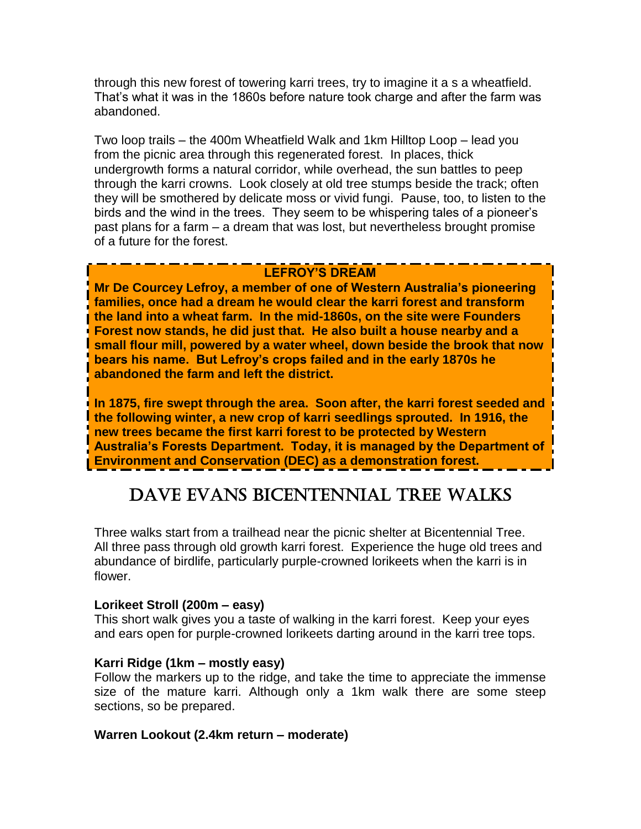through this new forest of towering karri trees, try to imagine it a s a wheatfield. That"s what it was in the 1860s before nature took charge and after the farm was abandoned.

Two loop trails – the 400m Wheatfield Walk and 1km Hilltop Loop – lead you from the picnic area through this regenerated forest. In places, thick undergrowth forms a natural corridor, while overhead, the sun battles to peep through the karri crowns. Look closely at old tree stumps beside the track; often they will be smothered by delicate moss or vivid fungi. Pause, too, to listen to the birds and the wind in the trees. They seem to be whispering tales of a pioneer"s past plans for a farm – a dream that was lost, but nevertheless brought promise of a future for the forest.

### **LEFROY'S DREAM**

**Mr De Courcey Lefroy, a member of one of Western Australia's pioneering families, once had a dream he would clear the karri forest and transform the land into a wheat farm. In the mid-1860s, on the site were Founders Forest now stands, he did just that. He also built a house nearby and a small flour mill, powered by a water wheel, down beside the brook that now bears his name. But Lefroy's crops failed and in the early 1870s he abandoned the farm and left the district.**

**In 1875, fire swept through the area. Soon after, the karri forest seeded and the following winter, a new crop of karri seedlings sprouted. In 1916, the new trees became the first karri forest to be protected by Western Australia's Forests Department. Today, it is managed by the Department of Environment and Conservation (DEC) as a demonstration forest.**

# DAVE EVANS BICENTENNIAL TREE WALKS

Three walks start from a trailhead near the picnic shelter at Bicentennial Tree. All three pass through old growth karri forest. Experience the huge old trees and abundance of birdlife, particularly purple-crowned lorikeets when the karri is in flower.

#### **Lorikeet Stroll (200m – easy)**

This short walk gives you a taste of walking in the karri forest. Keep your eyes and ears open for purple-crowned lorikeets darting around in the karri tree tops.

#### **Karri Ridge (1km – mostly easy)**

Follow the markers up to the ridge, and take the time to appreciate the immense size of the mature karri. Although only a 1km walk there are some steep sections, so be prepared.

#### **Warren Lookout (2.4km return – moderate)**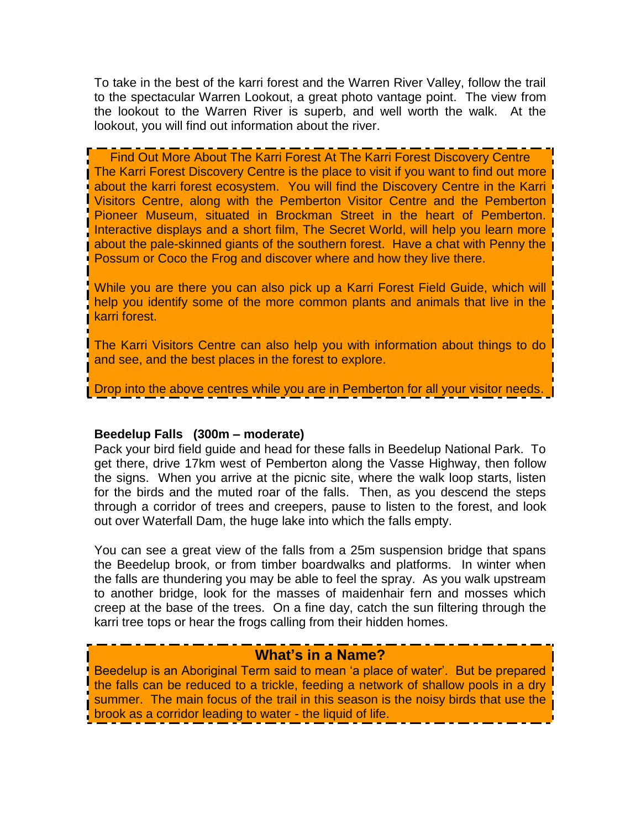To take in the best of the karri forest and the Warren River Valley, follow the trail to the spectacular Warren Lookout, a great photo vantage point. The view from the lookout to the Warren River is superb, and well worth the walk. At the lookout, you will find out information about the river.

Find Out More About The Karri Forest At The Karri Forest Discovery Centre The Karri Forest Discovery Centre is the place to visit if you want to find out more about the karri forest ecosystem. You will find the Discovery Centre in the Karri Visitors Centre, along with the Pemberton Visitor Centre and the Pemberton Pioneer Museum, situated in Brockman Street in the heart of Pemberton. Interactive displays and a short film, The Secret World, will help you learn more about the pale-skinned giants of the southern forest. Have a chat with Penny the Possum or Coco the Frog and discover where and how they live there.

While you are there you can also pick up a Karri Forest Field Guide, which will help you identify some of the more common plants and animals that live in the karri forest.

The Karri Visitors Centre can also help you with information about things to do and see, and the best places in the forest to explore.

Drop into the above centres while you are in Pemberton for all your visitor needs.

#### **Beedelup Falls (300m – moderate)**

Pack your bird field guide and head for these falls in Beedelup National Park. To get there, drive 17km west of Pemberton along the Vasse Highway, then follow the signs. When you arrive at the picnic site, where the walk loop starts, listen for the birds and the muted roar of the falls. Then, as you descend the steps through a corridor of trees and creepers, pause to listen to the forest, and look out over Waterfall Dam, the huge lake into which the falls empty.

You can see a great view of the falls from a 25m suspension bridge that spans the Beedelup brook, or from timber boardwalks and platforms. In winter when the falls are thundering you may be able to feel the spray. As you walk upstream to another bridge, look for the masses of maidenhair fern and mosses which creep at the base of the trees. On a fine day, catch the sun filtering through the karri tree tops or hear the frogs calling from their hidden homes.

### **What's in a Name?**

Beedelup is an Aboriginal Term said to mean "a place of water". But be prepared the falls can be reduced to a trickle, feeding a network of shallow pools in a dry summer. The main focus of the trail in this season is the noisy birds that use the brook as a corridor leading to water - the liquid of life.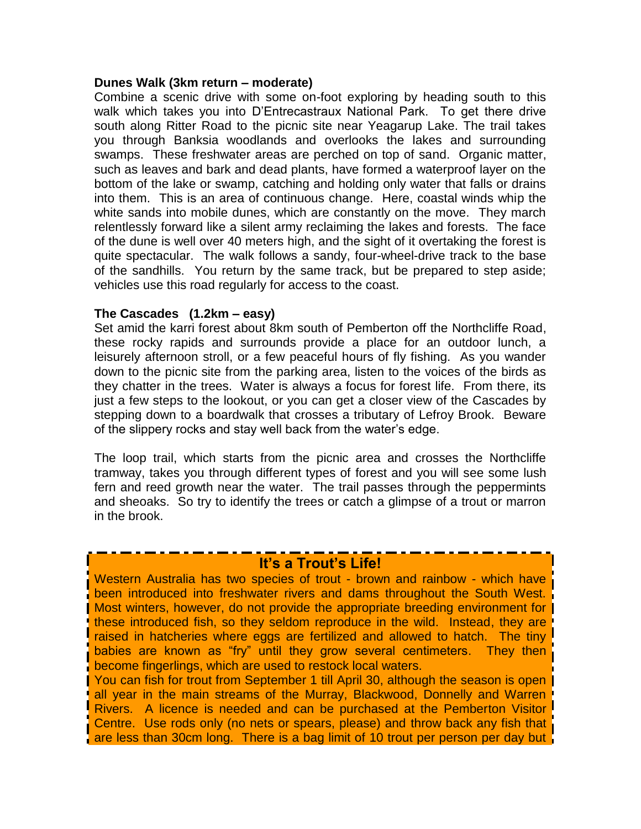#### **Dunes Walk (3km return – moderate)**

Combine a scenic drive with some on-foot exploring by heading south to this walk which takes you into D'Entrecastraux National Park. To get there drive south along Ritter Road to the picnic site near Yeagarup Lake. The trail takes you through Banksia woodlands and overlooks the lakes and surrounding swamps. These freshwater areas are perched on top of sand. Organic matter, such as leaves and bark and dead plants, have formed a waterproof layer on the bottom of the lake or swamp, catching and holding only water that falls or drains into them. This is an area of continuous change. Here, coastal winds whip the white sands into mobile dunes, which are constantly on the move. They march relentlessly forward like a silent army reclaiming the lakes and forests. The face of the dune is well over 40 meters high, and the sight of it overtaking the forest is quite spectacular. The walk follows a sandy, four-wheel-drive track to the base of the sandhills. You return by the same track, but be prepared to step aside; vehicles use this road regularly for access to the coast.

#### **The Cascades (1.2km – easy)**

Set amid the karri forest about 8km south of Pemberton off the Northcliffe Road, these rocky rapids and surrounds provide a place for an outdoor lunch, a leisurely afternoon stroll, or a few peaceful hours of fly fishing. As you wander down to the picnic site from the parking area, listen to the voices of the birds as they chatter in the trees. Water is always a focus for forest life. From there, its just a few steps to the lookout, or you can get a closer view of the Cascades by stepping down to a boardwalk that crosses a tributary of Lefroy Brook. Beware of the slippery rocks and stay well back from the water"s edge.

The loop trail, which starts from the picnic area and crosses the Northcliffe tramway, takes you through different types of forest and you will see some lush fern and reed growth near the water. The trail passes through the peppermints and sheoaks. So try to identify the trees or catch a glimpse of a trout or marron in the brook.

### **It's a Trout's Life!**

Western Australia has two species of trout - brown and rainbow - which have been introduced into freshwater rivers and dams throughout the South West. Most winters, however, do not provide the appropriate breeding environment for these introduced fish, so they seldom reproduce in the wild. Instead, they are raised in hatcheries where eggs are fertilized and allowed to hatch. The tiny babies are known as "fry" until they grow several centimeters. They then become fingerlings, which are used to restock local waters.

You can fish for trout from September 1 till April 30, although the season is open all year in the main streams of the Murray, Blackwood, Donnelly and Warren Rivers. A licence is needed and can be purchased at the Pemberton Visitor Centre. Use rods only (no nets or spears, please) and throw back any fish that are less than 30cm long. There is a bag limit of 10 trout per person per day but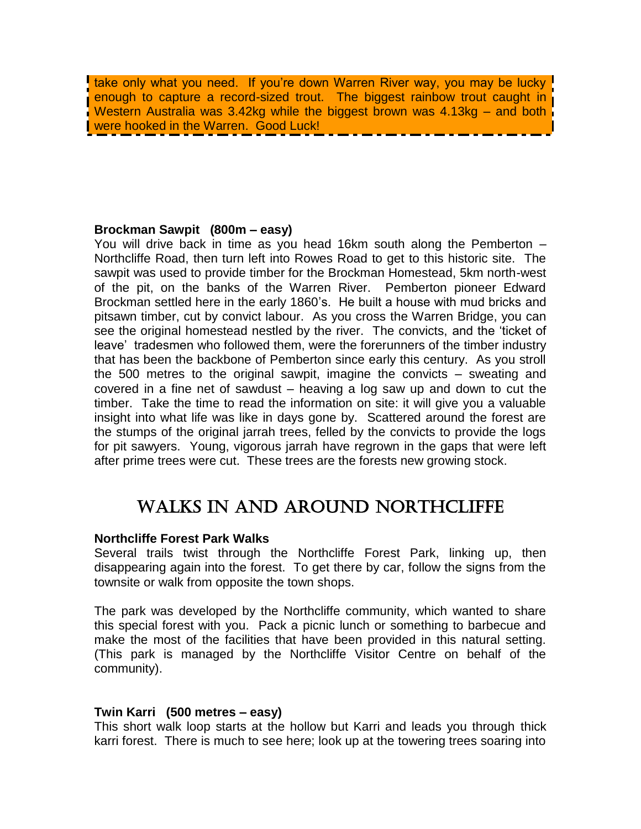take only what you need. If you're down Warren River way, you may be lucky enough to capture a record-sized trout. The biggest rainbow trout caught in Western Australia was 3.42kg while the biggest brown was 4.13kg – and both were hooked in the Warren. Good Luck!

#### **Brockman Sawpit (800m – easy)**

You will drive back in time as you head 16km south along the Pemberton – Northcliffe Road, then turn left into Rowes Road to get to this historic site. The sawpit was used to provide timber for the Brockman Homestead, 5km north-west of the pit, on the banks of the Warren River. Pemberton pioneer Edward Brockman settled here in the early 1860"s. He built a house with mud bricks and pitsawn timber, cut by convict labour. As you cross the Warren Bridge, you can see the original homestead nestled by the river. The convicts, and the "ticket of leave' tradesmen who followed them, were the forerunners of the timber industry that has been the backbone of Pemberton since early this century. As you stroll the 500 metres to the original sawpit, imagine the convicts – sweating and covered in a fine net of sawdust – heaving a log saw up and down to cut the timber. Take the time to read the information on site: it will give you a valuable insight into what life was like in days gone by. Scattered around the forest are the stumps of the original jarrah trees, felled by the convicts to provide the logs for pit sawyers. Young, vigorous jarrah have regrown in the gaps that were left after prime trees were cut. These trees are the forests new growing stock.

# WALKS IN AND AROUND NORTHCLIFFE

#### **Northcliffe Forest Park Walks**

Several trails twist through the Northcliffe Forest Park, linking up, then disappearing again into the forest. To get there by car, follow the signs from the townsite or walk from opposite the town shops.

The park was developed by the Northcliffe community, which wanted to share this special forest with you. Pack a picnic lunch or something to barbecue and make the most of the facilities that have been provided in this natural setting. (This park is managed by the Northcliffe Visitor Centre on behalf of the community).

#### **Twin Karri (500 metres – easy)**

This short walk loop starts at the hollow but Karri and leads you through thick karri forest. There is much to see here; look up at the towering trees soaring into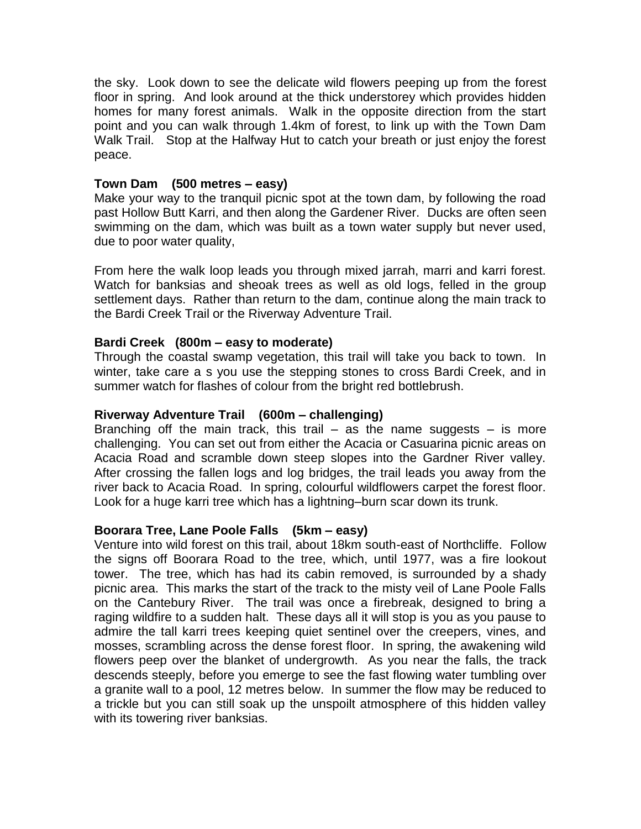the sky. Look down to see the delicate wild flowers peeping up from the forest floor in spring. And look around at the thick understorey which provides hidden homes for many forest animals. Walk in the opposite direction from the start point and you can walk through 1.4km of forest, to link up with the Town Dam Walk Trail. Stop at the Halfway Hut to catch your breath or just enjoy the forest peace.

#### **Town Dam (500 metres – easy)**

Make your way to the tranquil picnic spot at the town dam, by following the road past Hollow Butt Karri, and then along the Gardener River. Ducks are often seen swimming on the dam, which was built as a town water supply but never used, due to poor water quality,

From here the walk loop leads you through mixed jarrah, marri and karri forest. Watch for banksias and sheoak trees as well as old logs, felled in the group settlement days. Rather than return to the dam, continue along the main track to the Bardi Creek Trail or the Riverway Adventure Trail.

#### **Bardi Creek (800m – easy to moderate)**

Through the coastal swamp vegetation, this trail will take you back to town. In winter, take care a s you use the stepping stones to cross Bardi Creek, and in summer watch for flashes of colour from the bright red bottlebrush.

#### **Riverway Adventure Trail (600m – challenging)**

Branching off the main track, this trail  $-$  as the name suggests  $-$  is more challenging. You can set out from either the Acacia or Casuarina picnic areas on Acacia Road and scramble down steep slopes into the Gardner River valley. After crossing the fallen logs and log bridges, the trail leads you away from the river back to Acacia Road. In spring, colourful wildflowers carpet the forest floor. Look for a huge karri tree which has a lightning–burn scar down its trunk.

#### **Boorara Tree, Lane Poole Falls (5km – easy)**

Venture into wild forest on this trail, about 18km south-east of Northcliffe. Follow the signs off Boorara Road to the tree, which, until 1977, was a fire lookout tower. The tree, which has had its cabin removed, is surrounded by a shady picnic area. This marks the start of the track to the misty veil of Lane Poole Falls on the Cantebury River. The trail was once a firebreak, designed to bring a raging wildfire to a sudden halt. These days all it will stop is you as you pause to admire the tall karri trees keeping quiet sentinel over the creepers, vines, and mosses, scrambling across the dense forest floor. In spring, the awakening wild flowers peep over the blanket of undergrowth. As you near the falls, the track descends steeply, before you emerge to see the fast flowing water tumbling over a granite wall to a pool, 12 metres below. In summer the flow may be reduced to a trickle but you can still soak up the unspoilt atmosphere of this hidden valley with its towering river banksias.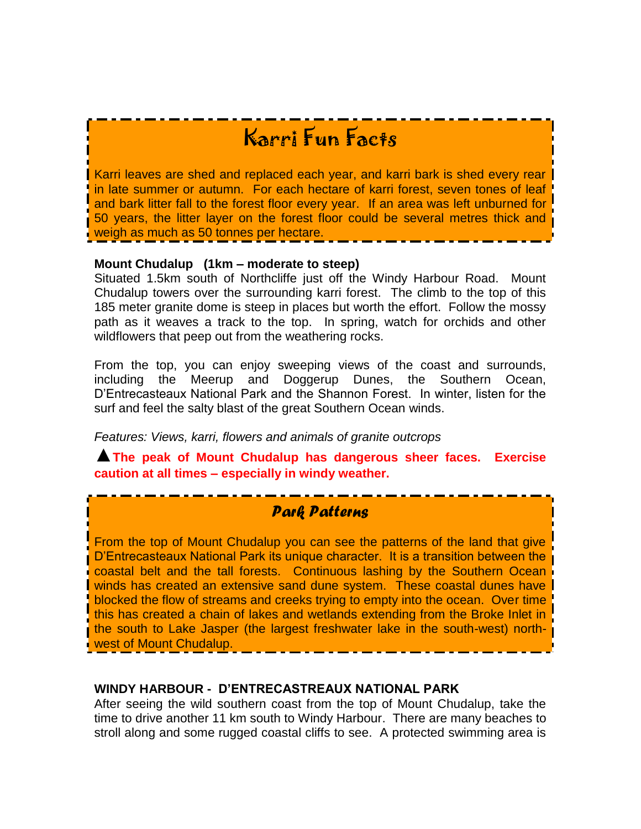# Karri Fun Facts

Karri leaves are shed and replaced each year, and karri bark is shed every rear in late summer or autumn. For each hectare of karri forest, seven tones of leaf and bark litter fall to the forest floor every year. If an area was left unburned for 50 years, the litter layer on the forest floor could be several metres thick and weigh as much as 50 tonnes per hectare.

#### **Mount Chudalup (1km – moderate to steep)**

Situated 1.5km south of Northcliffe just off the Windy Harbour Road. Mount Chudalup towers over the surrounding karri forest. The climb to the top of this 185 meter granite dome is steep in places but worth the effort. Follow the mossy path as it weaves a track to the top. In spring, watch for orchids and other wildflowers that peep out from the weathering rocks.

From the top, you can enjoy sweeping views of the coast and surrounds, including the Meerup and Doggerup Dunes, the Southern Ocean, D"Entrecasteaux National Park and the Shannon Forest. In winter, listen for the surf and feel the salty blast of the great Southern Ocean winds.

*Features: Views, karri, flowers and animals of granite outcrops*

▲**The peak of Mount Chudalup has dangerous sheer faces. Exercise caution at all times – especially in windy weather.**

## *Park Patterns*

From the top of Mount Chudalup you can see the patterns of the land that give D"Entrecasteaux National Park its unique character. It is a transition between the coastal belt and the tall forests. Continuous lashing by the Southern Ocean winds has created an extensive sand dune system. These coastal dunes have blocked the flow of streams and creeks trying to empty into the ocean. Over time this has created a chain of lakes and wetlands extending from the Broke Inlet in the south to Lake Jasper (the largest freshwater lake in the south-west) northwest of Mount Chudalup.

#### **WINDY HARBOUR - D'ENTRECASTREAUX NATIONAL PARK**

After seeing the wild southern coast from the top of Mount Chudalup, take the time to drive another 11 km south to Windy Harbour. There are many beaches to stroll along and some rugged coastal cliffs to see. A protected swimming area is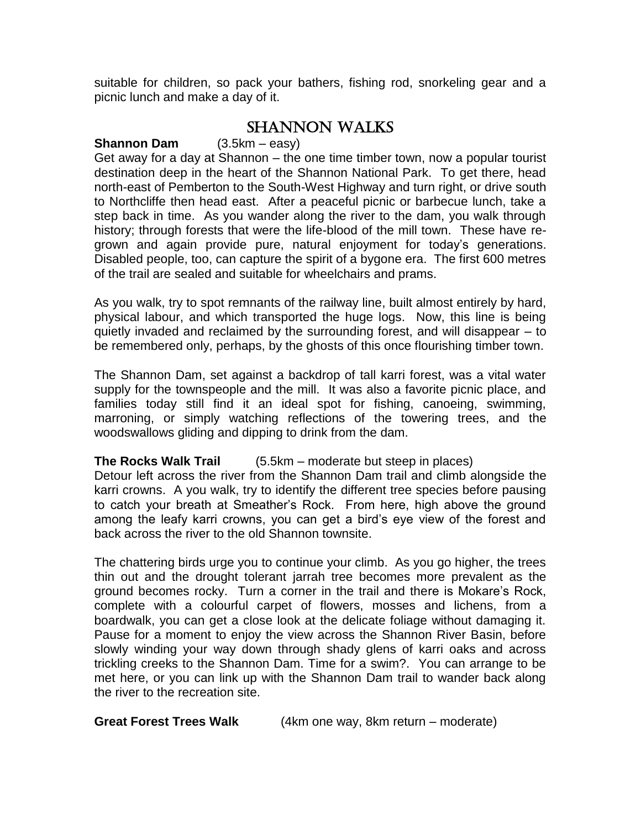suitable for children, so pack your bathers, fishing rod, snorkeling gear and a picnic lunch and make a day of it.

## SHANNON WALKS

#### **Shannon Dam** (3.5km – easy)

Get away for a day at Shannon – the one time timber town, now a popular tourist destination deep in the heart of the Shannon National Park. To get there, head north-east of Pemberton to the South-West Highway and turn right, or drive south to Northcliffe then head east. After a peaceful picnic or barbecue lunch, take a step back in time. As you wander along the river to the dam, you walk through history; through forests that were the life-blood of the mill town. These have regrown and again provide pure, natural enjoyment for today"s generations. Disabled people, too, can capture the spirit of a bygone era. The first 600 metres of the trail are sealed and suitable for wheelchairs and prams.

As you walk, try to spot remnants of the railway line, built almost entirely by hard, physical labour, and which transported the huge logs. Now, this line is being quietly invaded and reclaimed by the surrounding forest, and will disappear – to be remembered only, perhaps, by the ghosts of this once flourishing timber town.

The Shannon Dam, set against a backdrop of tall karri forest, was a vital water supply for the townspeople and the mill. It was also a favorite picnic place, and families today still find it an ideal spot for fishing, canoeing, swimming, marroning, or simply watching reflections of the towering trees, and the woodswallows gliding and dipping to drink from the dam.

#### **The Rocks Walk Trail** (5.5km – moderate but steep in places)

Detour left across the river from the Shannon Dam trail and climb alongside the karri crowns. A you walk, try to identify the different tree species before pausing to catch your breath at Smeather"s Rock. From here, high above the ground among the leafy karri crowns, you can get a bird"s eye view of the forest and back across the river to the old Shannon townsite.

The chattering birds urge you to continue your climb. As you go higher, the trees thin out and the drought tolerant jarrah tree becomes more prevalent as the ground becomes rocky. Turn a corner in the trail and there is Mokare"s Rock, complete with a colourful carpet of flowers, mosses and lichens, from a boardwalk, you can get a close look at the delicate foliage without damaging it. Pause for a moment to enjoy the view across the Shannon River Basin, before slowly winding your way down through shady glens of karri oaks and across trickling creeks to the Shannon Dam. Time for a swim?. You can arrange to be met here, or you can link up with the Shannon Dam trail to wander back along the river to the recreation site.

**Great Forest Trees Walk** (4km one way, 8km return – moderate)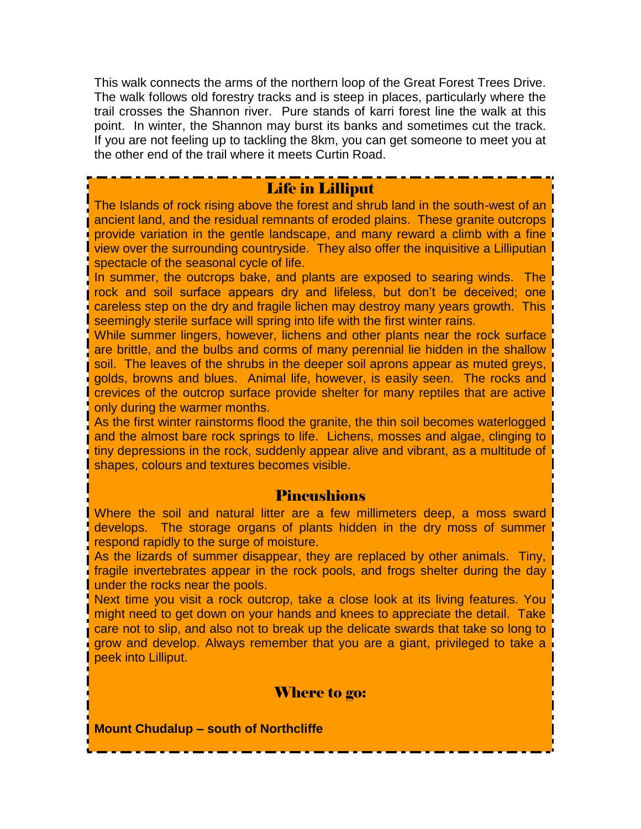This walk connects the arms of the northern loop of the Great Forest Trees Drive. The walk follows old forestry tracks and is steep in places, particularly where the trail crosses the Shannon river. Pure stands of karri forest line the walk at this point. In winter, the Shannon may burst its banks and sometimes cut the track. If you are not feeling up to tackling the 8km, you can get someone to meet you at the other end of the trail where it meets Curtin Road.

### Life in Lilliput

The Islands of rock rising above the forest and shrub land in the south-west of an ancient land, and the residual remnants of eroded plains. These granite outcrops provide variation in the gentle landscape, and many reward a climb with a fine view over the surrounding countryside. They also offer the inquisitive a Lilliputian spectacle of the seasonal cycle of life.

In summer, the outcrops bake, and plants are exposed to searing winds. The rock and soil surface appears dry and lifeless, but don"t be deceived; one careless step on the dry and fragile lichen may destroy many years growth. This seemingly sterile surface will spring into life with the first winter rains.

While summer lingers, however, lichens and other plants near the rock surface are brittle, and the bulbs and corms of many perennial lie hidden in the shallow soil. The leaves of the shrubs in the deeper soil aprons appear as muted greys, golds, browns and blues. Animal life, however, is easily seen. The rocks and crevices of the outcrop surface provide shelter for many reptiles that are active only during the warmer months.

As the first winter rainstorms flood the granite, the thin soil becomes waterlogged and the almost bare rock springs to life. Lichens, mosses and algae, clinging to tiny depressions in the rock, suddenly appear alive and vibrant, as a multitude of shapes, colours and textures becomes visible.

#### Pincushions

Where the soil and natural litter are a few millimeters deep, a moss sward develops. The storage organs of plants hidden in the dry moss of summer respond rapidly to the surge of moisture.

As the lizards of summer disappear, they are replaced by other animals. Tiny, fragile invertebrates appear in the rock pools, and frogs shelter during the day I under the rocks near the pools.

Next time you visit a rock outcrop, take a close look at its living features. You might need to get down on your hands and knees to appreciate the detail. Take care not to slip, and also not to break up the delicate swards that take so long to grow and develop. Always remember that you are a giant, privileged to take a peek into Lilliput.

#### Where to go:

**Mount Chudalup – south of Northcliffe**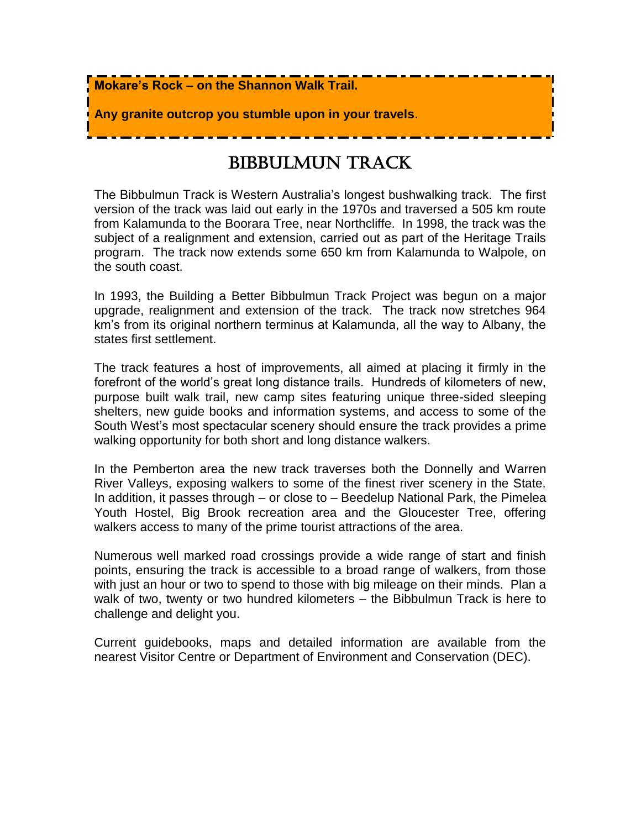

# BIBBULMUN TRACK

The Bibbulmun Track is Western Australia"s longest bushwalking track. The first version of the track was laid out early in the 1970s and traversed a 505 km route from Kalamunda to the Boorara Tree, near Northcliffe. In 1998, the track was the subject of a realignment and extension, carried out as part of the Heritage Trails program. The track now extends some 650 km from Kalamunda to Walpole, on the south coast.

In 1993, the Building a Better Bibbulmun Track Project was begun on a major upgrade, realignment and extension of the track. The track now stretches 964 km"s from its original northern terminus at Kalamunda, all the way to Albany, the states first settlement.

The track features a host of improvements, all aimed at placing it firmly in the forefront of the world"s great long distance trails. Hundreds of kilometers of new, purpose built walk trail, new camp sites featuring unique three-sided sleeping shelters, new guide books and information systems, and access to some of the South West's most spectacular scenery should ensure the track provides a prime walking opportunity for both short and long distance walkers.

In the Pemberton area the new track traverses both the Donnelly and Warren River Valleys, exposing walkers to some of the finest river scenery in the State. In addition, it passes through – or close to – Beedelup National Park, the Pimelea Youth Hostel, Big Brook recreation area and the Gloucester Tree, offering walkers access to many of the prime tourist attractions of the area.

Numerous well marked road crossings provide a wide range of start and finish points, ensuring the track is accessible to a broad range of walkers, from those with just an hour or two to spend to those with big mileage on their minds. Plan a walk of two, twenty or two hundred kilometers – the Bibbulmun Track is here to challenge and delight you.

Current guidebooks, maps and detailed information are available from the nearest Visitor Centre or Department of Environment and Conservation (DEC).